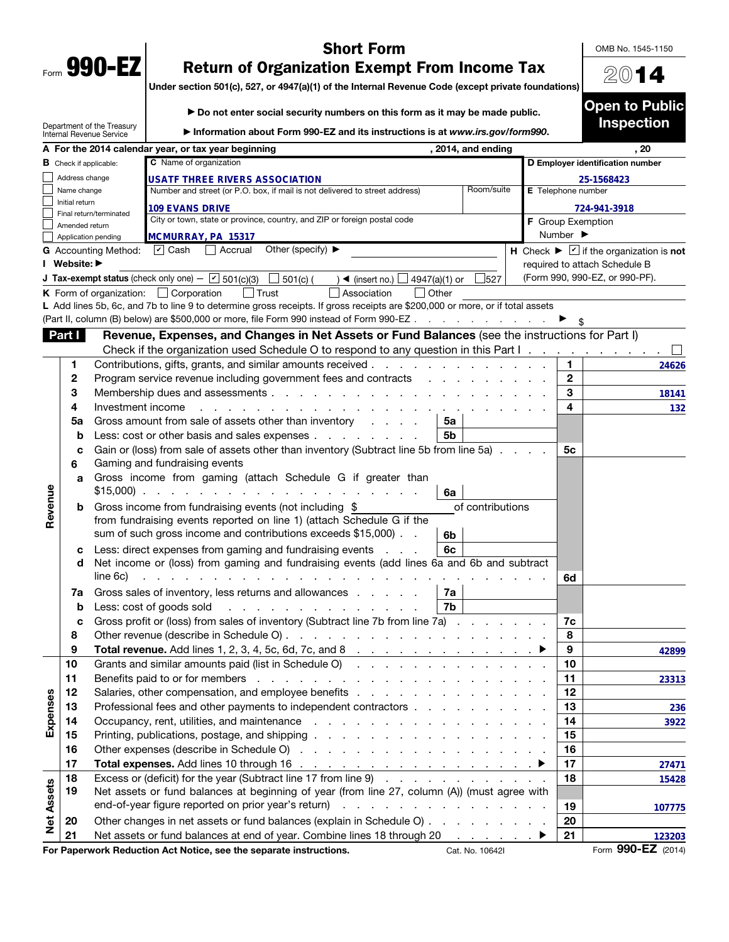|      | 990- |  |
|------|------|--|
| Form | M    |  |

## Short Form

OMB No. 1545-1150

20

## Return of Organization Exempt From Income Tax

Under section 501(c), 527, or 4947(a)(1) of the Internal Revenue Code (except private foundations)

|                   |                               |                                                        | Do not enter social security numbers on this form as it may be made public.                                                                                                                                                    |                              | <b>Open to Public</b>                                            |
|-------------------|-------------------------------|--------------------------------------------------------|--------------------------------------------------------------------------------------------------------------------------------------------------------------------------------------------------------------------------------|------------------------------|------------------------------------------------------------------|
|                   |                               | Department of the Treasury<br>Internal Revenue Service | Information about Form 990-EZ and its instructions is at www.irs.gov/form990.                                                                                                                                                  |                              | <b>Inspection</b>                                                |
|                   |                               |                                                        | A For the 2014 calendar year, or tax year beginning<br>, 2014, and ending                                                                                                                                                      |                              | , 20                                                             |
|                   | <b>B</b> Check if applicable: |                                                        | C Name of organization                                                                                                                                                                                                         |                              | D Employer identification number                                 |
|                   | Address change                |                                                        | USATF THREE RIVERS ASSOCIATION                                                                                                                                                                                                 |                              | 25-1568423                                                       |
|                   | Name change<br>Initial return |                                                        | Room/suite<br>Number and street (or P.O. box, if mail is not delivered to street address)                                                                                                                                      | E Telephone number           |                                                                  |
|                   |                               | Final return/terminated                                | <b>109 EVANS DRIVE</b>                                                                                                                                                                                                         |                              | 724-941-3918                                                     |
|                   | Amended return                |                                                        | City or town, state or province, country, and ZIP or foreign postal code                                                                                                                                                       | F Group Exemption            |                                                                  |
|                   |                               | Application pending                                    | MCMURRAY, PA 15317                                                                                                                                                                                                             | Number $\blacktriangleright$ |                                                                  |
|                   |                               | <b>G</b> Accounting Method:                            | Other (specify) ▶<br>$ v $ Cash<br>Accrual                                                                                                                                                                                     |                              | H Check $\blacktriangleright \square$ if the organization is not |
|                   | I Website: ▶                  |                                                        |                                                                                                                                                                                                                                |                              | required to attach Schedule B                                    |
|                   |                               |                                                        | <b>J Tax-exempt status</b> (check only one) $ \boxed{V}$ 501(c)(3) $\boxed{\phantom{0}}$ 501(c) (<br>527<br>$\rightarrow$ (insert no.) $\Box$ 4947(a)(1) or                                                                    |                              | (Form 990, 990-EZ, or 990-PF).                                   |
|                   |                               |                                                        | K Form of organization: $\Box$ Corporation<br>$\vert$ Trust<br>Association<br>$\Box$ Other                                                                                                                                     |                              |                                                                  |
|                   |                               |                                                        | L Add lines 5b, 6c, and 7b to line 9 to determine gross receipts. If gross receipts are \$200,000 or more, or if total assets<br>(Part II, column (B) below) are \$500,000 or more, file Form 990 instead of Form 990-EZ       |                              |                                                                  |
|                   |                               |                                                        |                                                                                                                                                                                                                                |                              |                                                                  |
|                   | Part I                        |                                                        | Revenue, Expenses, and Changes in Net Assets or Fund Balances (see the instructions for Part I)                                                                                                                                |                              |                                                                  |
|                   |                               |                                                        | Check if the organization used Schedule O to respond to any question in this Part $1 \ldots \ldots \ldots \ldots$                                                                                                              |                              |                                                                  |
|                   | 1                             |                                                        | Contributions, gifts, grants, and similar amounts received                                                                                                                                                                     | 1.<br>$\mathbf{2}$           | 24626                                                            |
|                   | 2<br>3                        |                                                        | Program service revenue including government fees and contracts                                                                                                                                                                | 3                            |                                                                  |
|                   | 4                             | Investment income                                      |                                                                                                                                                                                                                                | 4                            | 18141                                                            |
|                   | 5a                            |                                                        | de la caractería de la caractería de la caractería<br>Gross amount from sale of assets other than inventory<br>5a                                                                                                              |                              | 132                                                              |
|                   | b                             |                                                        | Less: cost or other basis and sales expenses<br>5b                                                                                                                                                                             |                              |                                                                  |
|                   | c                             |                                                        | Gain or (loss) from sale of assets other than inventory (Subtract line 5b from line 5a)                                                                                                                                        | 5c                           |                                                                  |
|                   | 6                             |                                                        | Gaming and fundraising events                                                                                                                                                                                                  |                              |                                                                  |
|                   | a                             |                                                        | Gross income from gaming (attach Schedule G if greater than<br>$$15,000$<br>6a                                                                                                                                                 |                              |                                                                  |
| Revenue           | b                             |                                                        | of contributions<br>Gross income from fundraising events (not including \$                                                                                                                                                     |                              |                                                                  |
|                   |                               |                                                        | from fundraising events reported on line 1) (attach Schedule G if the                                                                                                                                                          |                              |                                                                  |
|                   |                               |                                                        | sum of such gross income and contributions exceeds \$15,000).<br>6b                                                                                                                                                            |                              |                                                                  |
|                   | с                             |                                                        | 6c<br>Less: direct expenses from gaming and fundraising events                                                                                                                                                                 |                              |                                                                  |
|                   | d                             |                                                        | Net income or (loss) from gaming and fundraising events (add lines 6a and 6b and subtract                                                                                                                                      |                              |                                                                  |
|                   |                               | line 6c)                                               | and the contract of the contract of the contract of                                                                                                                                                                            | 6d                           |                                                                  |
|                   | 7a                            |                                                        | Gross sales of inventory, less returns and allowances<br>7a                                                                                                                                                                    |                              |                                                                  |
|                   | b                             |                                                        | 7b<br>Less: cost of goods sold<br>and the contract of the contract of the con-                                                                                                                                                 |                              |                                                                  |
|                   | с                             |                                                        | Gross profit or (loss) from sales of inventory (Subtract line 7b from line 7a)                                                                                                                                                 | 7c                           |                                                                  |
|                   | 8                             |                                                        |                                                                                                                                                                                                                                | 8                            |                                                                  |
|                   | 9                             |                                                        |                                                                                                                                                                                                                                | 9                            | 42899                                                            |
|                   | 10                            |                                                        | Grants and similar amounts paid (list in Schedule O)                                                                                                                                                                           | 10                           |                                                                  |
|                   | 11                            |                                                        | Benefits paid to or for members<br>the contract of the contract of the contract of the contract of the contract of                                                                                                             | 11                           | 23313                                                            |
|                   | 12                            |                                                        |                                                                                                                                                                                                                                | 12                           |                                                                  |
| Expenses          | 13                            |                                                        | Professional fees and other payments to independent contractors                                                                                                                                                                | 13                           | 236                                                              |
|                   | 14                            |                                                        | Occupancy, rent, utilities, and maintenance response to the contract of the contract of the contract of the contract of the contract of the contract of the contract of the contract of the contract of the contract of the co | 14                           | 3922                                                             |
|                   | 15                            |                                                        |                                                                                                                                                                                                                                | 15                           |                                                                  |
|                   | 16                            |                                                        |                                                                                                                                                                                                                                | 16                           |                                                                  |
|                   | 17                            |                                                        |                                                                                                                                                                                                                                | 17                           | 27471                                                            |
|                   | 18                            |                                                        | Excess or (deficit) for the year (Subtract line 17 from line 9)                                                                                                                                                                | 18                           | 15428                                                            |
|                   | 19                            |                                                        | Net assets or fund balances at beginning of year (from line 27, column (A)) (must agree with                                                                                                                                   |                              |                                                                  |
| <b>Net Assets</b> |                               |                                                        |                                                                                                                                                                                                                                | 19                           | 107775                                                           |
|                   | 20                            |                                                        | Other changes in net assets or fund balances (explain in Schedule O)                                                                                                                                                           | 20                           |                                                                  |
|                   | 21                            |                                                        | Net assets or fund balances at end of year. Combine lines 18 through 20                                                                                                                                                        | 21                           | 123203                                                           |

For Paperwork Reduction Act Notice, see the separate instructions. Cat. No. 10642I Form 990-EZ (2014)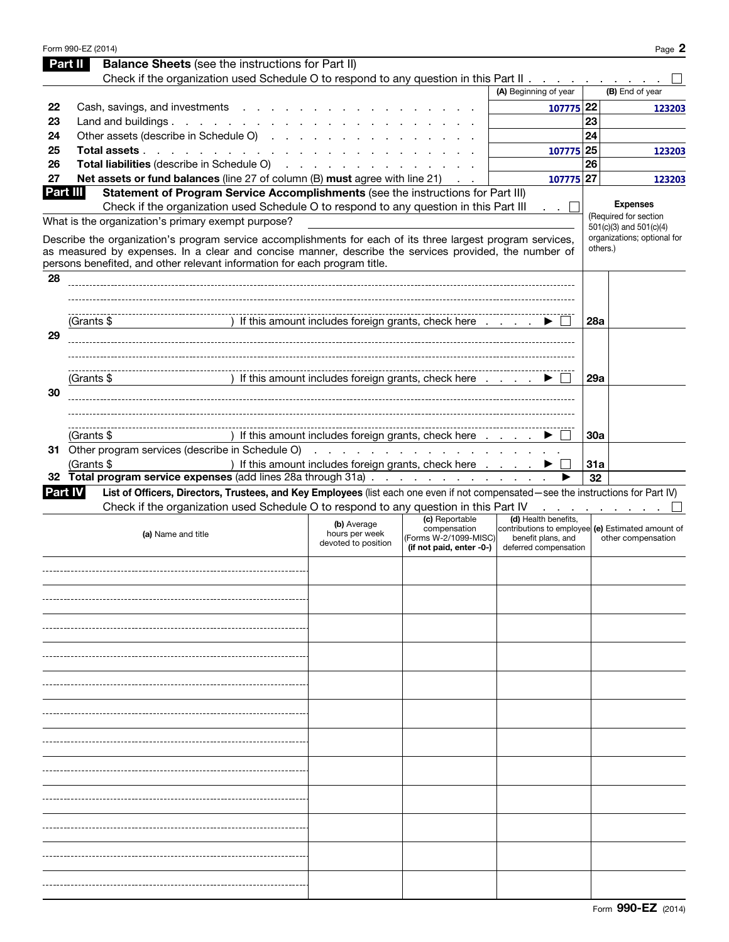|    | Form 990-EZ (2014)                                                                                                                                  |                                                                                     |                                       |                                                                         |            | Page 2                                                 |
|----|-----------------------------------------------------------------------------------------------------------------------------------------------------|-------------------------------------------------------------------------------------|---------------------------------------|-------------------------------------------------------------------------|------------|--------------------------------------------------------|
|    | <b>Balance Sheets</b> (see the instructions for Part II)<br>Part II                                                                                 |                                                                                     |                                       |                                                                         |            |                                                        |
|    | Check if the organization used Schedule O to respond to any question in this Part II                                                                |                                                                                     |                                       |                                                                         |            |                                                        |
|    |                                                                                                                                                     |                                                                                     |                                       | (A) Beginning of year                                                   |            | (B) End of year                                        |
| 22 | Cash, savings, and investments                                                                                                                      |                                                                                     |                                       | 107775 22                                                               |            | 123203                                                 |
| 23 | Land and buildings                                                                                                                                  |                                                                                     |                                       |                                                                         | 23         |                                                        |
| 24 | Other assets (describe in Schedule O)                                                                                                               |                                                                                     |                                       |                                                                         | 24         |                                                        |
| 25 | Total assets                                                                                                                                        |                                                                                     |                                       | 107775 25                                                               |            | 123203                                                 |
| 26 | Total liabilities (describe in Schedule O)                                                                                                          |                                                                                     |                                       |                                                                         | 26         |                                                        |
| 27 | Net assets or fund balances (line 27 of column (B) must agree with line 21)                                                                         |                                                                                     | $\mathcal{A}=\mathcal{A}$ .           | 107775 27                                                               |            | 123203                                                 |
|    | Part III<br>Statement of Program Service Accomplishments (see the instructions for Part III)                                                        |                                                                                     |                                       |                                                                         |            |                                                        |
|    | Check if the organization used Schedule O to respond to any question in this Part III                                                               |                                                                                     |                                       | . . L                                                                   |            | <b>Expenses</b>                                        |
|    | What is the organization's primary exempt purpose?                                                                                                  |                                                                                     |                                       |                                                                         |            | (Required for section                                  |
|    | Describe the organization's program service accomplishments for each of its three largest program services,                                         |                                                                                     |                                       |                                                                         |            | 501(c)(3) and 501(c)(4)<br>organizations; optional for |
|    | as measured by expenses. In a clear and concise manner, describe the services provided, the number of                                               |                                                                                     |                                       |                                                                         | others.)   |                                                        |
|    | persons benefited, and other relevant information for each program title.                                                                           |                                                                                     |                                       |                                                                         |            |                                                        |
| 28 |                                                                                                                                                     |                                                                                     |                                       |                                                                         |            |                                                        |
|    |                                                                                                                                                     |                                                                                     |                                       |                                                                         |            |                                                        |
|    |                                                                                                                                                     |                                                                                     |                                       |                                                                         |            |                                                        |
|    | (Grants \$                                                                                                                                          | ) If this amount includes foreign grants, check here $\ldots$ $\blacktriangleright$ |                                       |                                                                         | <b>28a</b> |                                                        |
| 29 |                                                                                                                                                     |                                                                                     |                                       |                                                                         |            |                                                        |
|    |                                                                                                                                                     |                                                                                     |                                       |                                                                         |            |                                                        |
|    |                                                                                                                                                     |                                                                                     |                                       |                                                                         |            |                                                        |
|    | (Grants \$                                                                                                                                          | ) If this amount includes foreign grants, check here                                |                                       |                                                                         | <b>29a</b> |                                                        |
| 30 |                                                                                                                                                     |                                                                                     |                                       |                                                                         |            |                                                        |
|    |                                                                                                                                                     |                                                                                     |                                       |                                                                         |            |                                                        |
|    |                                                                                                                                                     |                                                                                     |                                       |                                                                         |            |                                                        |
|    | (Grants $$$                                                                                                                                         | ) If this amount includes foreign grants, check here                                |                                       |                                                                         | 30a        |                                                        |
|    |                                                                                                                                                     |                                                                                     |                                       |                                                                         |            |                                                        |
|    | (Grants \$                                                                                                                                          | ) If this amount includes foreign grants, check here                                |                                       |                                                                         | 31a        |                                                        |
|    | 32 Total program service expenses (add lines 28a through 31a)                                                                                       |                                                                                     |                                       |                                                                         | 32         |                                                        |
|    | List of Officers, Directors, Trustees, and Key Employees (list each one even if not compensated—see the instructions for Part IV)<br><b>Part IV</b> |                                                                                     |                                       |                                                                         |            |                                                        |
|    | Check if the organization used Schedule O to respond to any question in this Part IV                                                                |                                                                                     |                                       |                                                                         |            | the company of the company of                          |
|    |                                                                                                                                                     | (b) Average                                                                         | (c) Reportable                        | (d) Health benefits,                                                    |            |                                                        |
|    | (a) Name and title                                                                                                                                  | hours per week                                                                      | compensation<br>(Forms W-2/1099-MISC) | contributions to employee (e) Estimated amount of<br>benefit plans, and |            | other compensation                                     |
|    |                                                                                                                                                     | devoted to position                                                                 | (if not paid, enter -0-)              | deferred compensation                                                   |            |                                                        |
|    |                                                                                                                                                     |                                                                                     |                                       |                                                                         |            |                                                        |
|    |                                                                                                                                                     |                                                                                     |                                       |                                                                         |            |                                                        |
|    |                                                                                                                                                     |                                                                                     |                                       |                                                                         |            |                                                        |
|    |                                                                                                                                                     |                                                                                     |                                       |                                                                         |            |                                                        |
|    |                                                                                                                                                     |                                                                                     |                                       |                                                                         |            |                                                        |
|    |                                                                                                                                                     |                                                                                     |                                       |                                                                         |            |                                                        |
|    |                                                                                                                                                     |                                                                                     |                                       |                                                                         |            |                                                        |
|    |                                                                                                                                                     |                                                                                     |                                       |                                                                         |            |                                                        |
|    |                                                                                                                                                     |                                                                                     |                                       |                                                                         |            |                                                        |
|    |                                                                                                                                                     |                                                                                     |                                       |                                                                         |            |                                                        |
|    |                                                                                                                                                     |                                                                                     |                                       |                                                                         |            |                                                        |
|    |                                                                                                                                                     |                                                                                     |                                       |                                                                         |            |                                                        |
|    |                                                                                                                                                     |                                                                                     |                                       |                                                                         |            |                                                        |
|    |                                                                                                                                                     |                                                                                     |                                       |                                                                         |            |                                                        |
|    |                                                                                                                                                     |                                                                                     |                                       |                                                                         |            |                                                        |
|    |                                                                                                                                                     |                                                                                     |                                       |                                                                         |            |                                                        |
|    |                                                                                                                                                     |                                                                                     |                                       |                                                                         |            |                                                        |
|    |                                                                                                                                                     |                                                                                     |                                       |                                                                         |            |                                                        |
|    |                                                                                                                                                     |                                                                                     |                                       |                                                                         |            |                                                        |
|    |                                                                                                                                                     |                                                                                     |                                       |                                                                         |            |                                                        |
|    |                                                                                                                                                     |                                                                                     |                                       |                                                                         |            |                                                        |
|    |                                                                                                                                                     |                                                                                     |                                       |                                                                         |            |                                                        |
|    |                                                                                                                                                     |                                                                                     |                                       |                                                                         |            |                                                        |
|    |                                                                                                                                                     |                                                                                     |                                       |                                                                         |            |                                                        |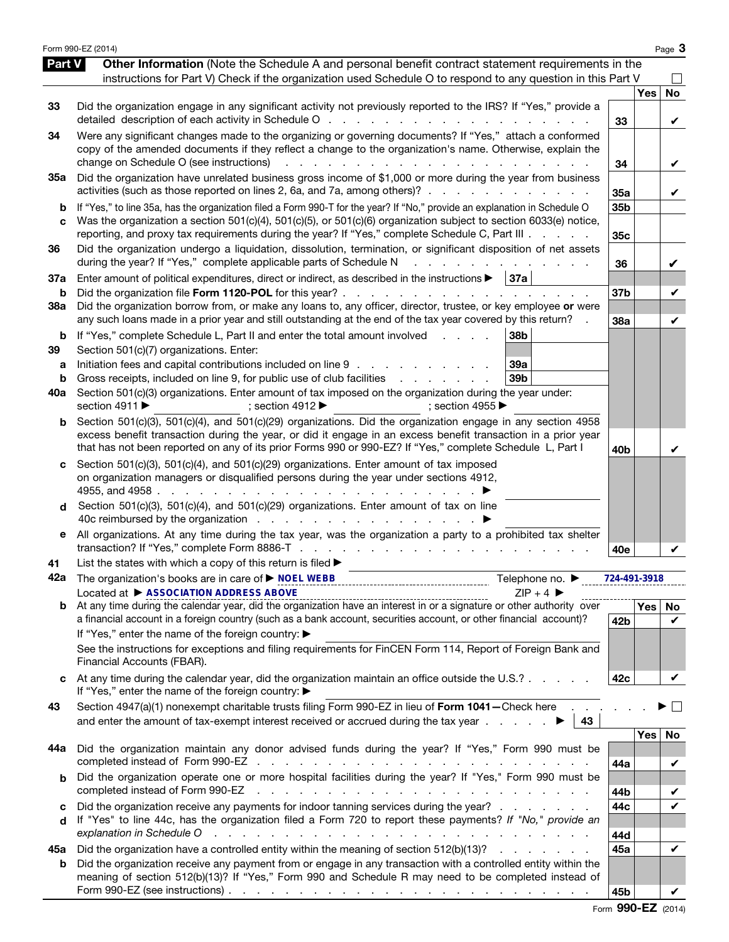|                          | Form 990-EZ (2014)                                                                                                                                                                                                                                                                                                                                                                                                                                                                                                       |                        |            | Page 3  |
|--------------------------|--------------------------------------------------------------------------------------------------------------------------------------------------------------------------------------------------------------------------------------------------------------------------------------------------------------------------------------------------------------------------------------------------------------------------------------------------------------------------------------------------------------------------|------------------------|------------|---------|
| <b>Part V</b>            | Other Information (Note the Schedule A and personal benefit contract statement requirements in the<br>instructions for Part V) Check if the organization used Schedule O to respond to any question in this Part V                                                                                                                                                                                                                                                                                                       |                        |            |         |
| 33                       | Did the organization engage in any significant activity not previously reported to the IRS? If "Yes," provide a                                                                                                                                                                                                                                                                                                                                                                                                          | 33                     | Yes        | No<br>V |
| 34                       | Were any significant changes made to the organizing or governing documents? If "Yes," attach a conformed<br>copy of the amended documents if they reflect a change to the organization's name. Otherwise, explain the<br>change on Schedule O (see instructions)                                                                                                                                                                                                                                                         | 34                     |            | V       |
| 35a                      | Did the organization have unrelated business gross income of \$1,000 or more during the year from business<br>activities (such as those reported on lines 2, 6a, and 7a, among others)?                                                                                                                                                                                                                                                                                                                                  | 35a                    |            | V       |
| b<br>C                   | If "Yes," to line 35a, has the organization filed a Form 990-T for the year? If "No," provide an explanation in Schedule O<br>Was the organization a section 501(c)(4), 501(c)(5), or 501(c)(6) organization subject to section 6033(e) notice,<br>reporting, and proxy tax requirements during the year? If "Yes," complete Schedule C, Part III                                                                                                                                                                        | 35b<br>35 <sub>c</sub> |            |         |
| 36                       | Did the organization undergo a liquidation, dissolution, termination, or significant disposition of net assets<br>during the year? If "Yes," complete applicable parts of Schedule N<br>and a strain and a strain and                                                                                                                                                                                                                                                                                                    | 36                     |            | V       |
| 37a<br>b                 | Enter amount of political expenditures, direct or indirect, as described in the instructions $\blacktriangleright$   37a  <br>Did the organization file Form 1120-POL for this year?                                                                                                                                                                                                                                                                                                                                     | 37 <sub>b</sub>        |            | V       |
| 38a                      | Did the organization borrow from, or make any loans to, any officer, director, trustee, or key employee or were<br>any such loans made in a prior year and still outstanding at the end of the tax year covered by this return?                                                                                                                                                                                                                                                                                          | 38a                    |            | V       |
| b<br>39<br>а<br>b<br>40a | If "Yes," complete Schedule L, Part II and enter the total amount involved<br>38 <sub>b</sub><br>Section 501(c)(7) organizations. Enter:<br>Initiation fees and capital contributions included on line 9<br>39a<br>Gross receipts, included on line 9, for public use of club facilities<br>39 <sub>b</sub><br>Section 501(c)(3) organizations. Enter amount of tax imposed on the organization during the year under:<br>section 4911 ▶<br>; section 4912 $\blacktriangleright$<br>; section 4955 $\blacktriangleright$ |                        |            |         |
| b                        | Section 501(c)(3), 501(c)(4), and 501(c)(29) organizations. Did the organization engage in any section 4958<br>excess benefit transaction during the year, or did it engage in an excess benefit transaction in a prior year<br>that has not been reported on any of its prior Forms 990 or 990-EZ? If "Yes," complete Schedule L, Part I                                                                                                                                                                                | 40 <sub>b</sub>        |            | V       |
| C<br>d                   | Section 501(c)(3), 501(c)(4), and 501(c)(29) organizations. Enter amount of tax imposed<br>on organization managers or disqualified persons during the year under sections 4912,<br>4955, and 4958.<br>the contract of the contract of the contract of the contract of the contract of the contract of the contract of<br>Section 501(c)(3), 501(c)(4), and 501(c)(29) organizations. Enter amount of tax on line                                                                                                        |                        |            |         |
| е                        | All organizations. At any time during the tax year, was the organization a party to a prohibited tax shelter                                                                                                                                                                                                                                                                                                                                                                                                             | 40e                    |            |         |
| 41                       | List the states with which a copy of this return is filed >                                                                                                                                                                                                                                                                                                                                                                                                                                                              |                        |            |         |
| 42a                      | Telephone no. ▶<br>Located at ▶ ASSOCIATION ADDRESS ABOVE<br>$ZIP + 4$                                                                                                                                                                                                                                                                                                                                                                                                                                                   | 724-491-3918           |            |         |
|                          |                                                                                                                                                                                                                                                                                                                                                                                                                                                                                                                          |                        | Yes        | No      |
|                          | a financial account in a foreign country (such as a bank account, securities account, or other financial account)?<br>If "Yes," enter the name of the foreign country: ▶                                                                                                                                                                                                                                                                                                                                                 | 42b                    |            | V       |
|                          | See the instructions for exceptions and filing requirements for FinCEN Form 114, Report of Foreign Bank and<br>Financial Accounts (FBAR).                                                                                                                                                                                                                                                                                                                                                                                |                        |            |         |
| c                        | At any time during the calendar year, did the organization maintain an office outside the U.S.?<br>If "Yes," enter the name of the foreign country: ▶                                                                                                                                                                                                                                                                                                                                                                    | 42c                    |            | V       |
| 43                       | Section 4947(a)(1) nonexempt charitable trusts filing Form 990-EZ in lieu of Form 1041-Check here<br>and enter the amount of tax-exempt interest received or accrued during the tax year $\ldots$<br>43                                                                                                                                                                                                                                                                                                                  |                        |            |         |
| 44а                      | Did the organization maintain any donor advised funds during the year? If "Yes," Form 990 must be                                                                                                                                                                                                                                                                                                                                                                                                                        | 44a                    | <b>Yes</b> | No<br>V |
| b                        | Did the organization operate one or more hospital facilities during the year? If "Yes," Form 990 must be<br>completed instead of Form 990-EZ<br>and a construction of the construction of the construction of the construction of the construction of the construction of the construction of the construction of the construction of the construction of the construction of                                                                                                                                            | 44b                    |            | V       |
| C<br>d                   | Did the organization receive any payments for indoor tanning services during the year?<br>If "Yes" to line 44c, has the organization filed a Form 720 to report these payments? If "No," provide an<br>explanation in Schedule O                                                                                                                                                                                                                                                                                         | 44c<br>44d             |            | V       |
| 45а                      | Did the organization have a controlled entity within the meaning of section 512(b)(13)?                                                                                                                                                                                                                                                                                                                                                                                                                                  | 45a                    |            | V       |
| b                        | Did the organization receive any payment from or engage in any transaction with a controlled entity within the<br>meaning of section 512(b)(13)? If "Yes," Form 990 and Schedule R may need to be completed instead of<br>Form 990-EZ (see instructions) $\ldots$ $\ldots$ $\ldots$ $\ldots$ $\ldots$ $\ldots$ $\ldots$ $\ldots$ $\ldots$ $\ldots$ $\ldots$                                                                                                                                                              | 45b                    |            |         |

Form 990-EZ (2014)